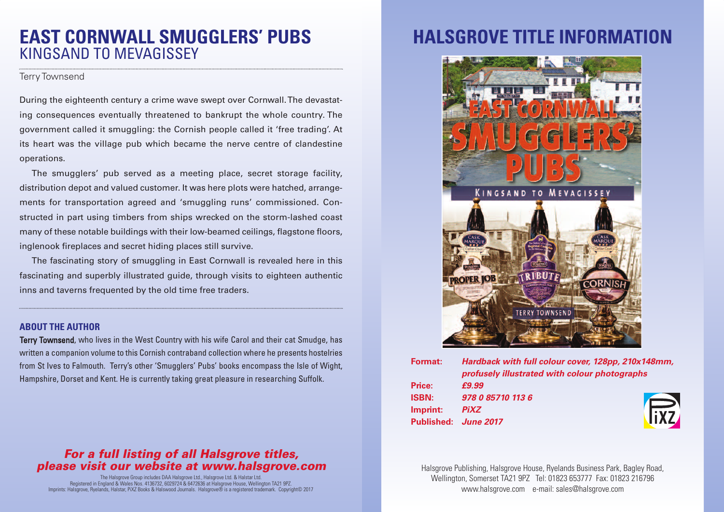# **EAST CORNWALL SMUGGLERS' PUBS** KINGSAND TO MEVAGISSEY

#### Terry Townsend

During the eighteenth century a crime wave swept over Cornwall.The devastating consequences eventually threatened to bankrupt the whole country. The government called it smuggling: the Cornish people called it 'free trading'. At its heart was the village pub which became the nerve centre of clandestine operations.

The smugglers' pub served as a meeting place, secret storage facility, distribution depot and valued customer. It was here plots were hatched, arrangements for transportation agreed and 'smuggling runs' commissioned. Constructed in part using timbers from ships wrecked on the storm-lashed coast many of these notable buildings with their low-beamed ceilings, flagstone floors, inglenook fireplaces and secret hiding places still survive.

The fascinating story of smuggling in East Cornwall is revealed here in this fascinating and superbly illustrated guide, through visits to eighteen authentic inns and taverns frequented by the old time free traders.

### **ABOUT THE AUTHOR**

Terry Townsend, who lives in the West Country with his wife Carol and their cat Smudge, has written a companion volume to this Cornish contraband collection where he presents hostelries from St Ives to Falmouth. Terry's other 'Smugglers' Pubs' books encompass the Isle of Wight, Hampshire, Dorset and Kent. He is currently taking great pleasure in researching Suffolk.

## *For a full listing of all Halsgrove titles, please visit our website at www.halsgrove.com*

The Halsgrove Group includes DAA Halsgrove Ltd., Halsgrove Ltd. & Halstar Ltd. Registered in England & Wales Nos. 4136732, 6029724 & 6472636 at Halsgrove House, Wellington TA21 9PZ. Imprints: Halsgrove, Ryelands, Halstar, PiXZ Books & Halswood Journals. Halsgrove® is a registered trademark. Copyright© 2017

# **HALSGROVE TITLE INFORMATION**



| Format:      | Hardback with full colour cover, 128pp, 210x148mm,<br>profusely illustrated with colour photographs |  |
|--------------|-----------------------------------------------------------------------------------------------------|--|
| Price:       | £9.99                                                                                               |  |
| <b>ISBN:</b> | 978 0 85710 113 6                                                                                   |  |
| Imprint:     | lixz<br><b>PiXZ</b>                                                                                 |  |
|              | Published: June 2017                                                                                |  |
|              |                                                                                                     |  |

Halsgrove Publishing, Halsgrove House, Ryelands Business Park, Bagley Road, Wellington, Somerset TA21 9PZ Tel: 01823 653777 Fax: 01823 216796 www.halsgrove.com e-mail: sales@halsgrove.com